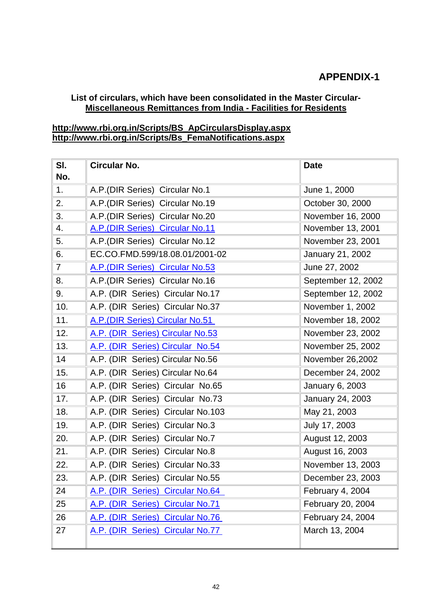## **APPENDIX-1**

## **List of circulars, which have been consolidated in the Master Circular-Miscellaneous Remittances from India - Facilities for Residents**

## **[http://www.rbi.org.in/Scripts/BS\\_ApCircularsDisplay.aspx](https://mail.rbi.org.in/owa/redir.aspx?C=e9a3d68567574a1e9b3b0ef757639be6&URL=http%3a%2f%2fwww.rbi.org.in%2fScripts%2fBS_ApCircularsDisplay.aspx) [http://www.rbi.org.in/Scripts/Bs\\_FemaNotifications.aspx](https://mail.rbi.org.in/owa/redir.aspx?C=e9a3d68567574a1e9b3b0ef757639be6&URL=http%3a%2f%2fwww.rbi.org.in%2fScripts%2fBs_FemaNotifications.aspx)**

| SI.<br>No.     | <b>Circular No.</b>               | <b>Date</b>        |
|----------------|-----------------------------------|--------------------|
| 1.             | A.P.(DIR Series) Circular No.1    | June 1, 2000       |
| 2.             | A.P.(DIR Series) Circular No.19   | October 30, 2000   |
| 3.             | A.P.(DIR Series) Circular No.20   | November 16, 2000  |
| 4.             | A.P. (DIR Series) Circular No.11  | November 13, 2001  |
| 5.             | A.P. (DIR Series) Circular No.12  | November 23, 2001  |
| 6.             | EC.CO.FMD.599/18.08.01/2001-02    | January 21, 2002   |
| $\overline{7}$ | A.P. (DIR Series) Circular No.53  | June 27, 2002      |
| 8.             | A.P. (DIR Series) Circular No.16  | September 12, 2002 |
| 9.             | A.P. (DIR Series) Circular No.17  | September 12, 2002 |
| 10.            | A.P. (DIR Series) Circular No.37  | November 1, 2002   |
| 11.            | A.P. (DIR Series) Circular No.51  | November 18, 2002  |
| 12.            | A.P. (DIR Series) Circular No.53  | November 23, 2002  |
| 13.            | A.P. (DIR Series) Circular No.54  | November 25, 2002  |
| 14             | A.P. (DIR Series) Circular No.56  | November 26,2002   |
| 15.            | A.P. (DIR Series) Circular No.64  | December 24, 2002  |
| 16             | A.P. (DIR Series) Circular No.65  | January 6, 2003    |
| 17.            | A.P. (DIR Series) Circular No.73  | January 24, 2003   |
| 18.            | A.P. (DIR Series) Circular No.103 | May 21, 2003       |
| 19.            | A.P. (DIR Series) Circular No.3   | July 17, 2003      |
| 20.            | A.P. (DIR Series) Circular No.7   | August 12, 2003    |
| 21.            | A.P. (DIR Series) Circular No.8   | August 16, 2003    |
| 22.            | A.P. (DIR Series) Circular No.33  | November 13, 2003  |
| 23.            | A.P. (DIR Series) Circular No.55  | December 23, 2003  |
| 24             | A.P. (DIR Series) Circular No.64  | February 4, 2004   |
| 25             | A.P. (DIR Series) Circular No.71  | February 20, 2004  |
| 26             | A.P. (DIR Series) Circular No.76  | February 24, 2004  |
| 27             | A.P. (DIR Series) Circular No.77  | March 13, 2004     |